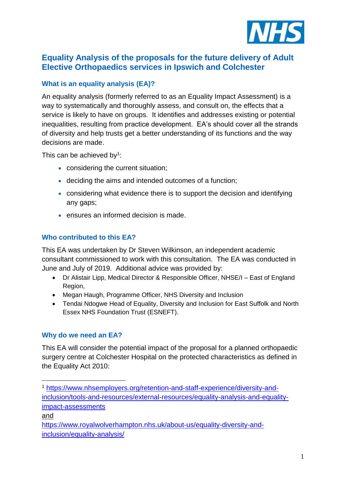

## **Equality Analysis of the proposals for the future delivery of Adult Elective Orthopaedics services in Ipswich and Colchester**

### **What is an equality analysis (EA)?**

An equality analysis (formerly referred to as an Equality Impact Assessment) is a way to systematically and thoroughly assess, and consult on, the effects that a service is likely to have on groups. It identifies and addresses existing or potential inequalities, resulting from practice development. EA's should cover all the strands of diversity and help trusts get a better understanding of its functions and the way decisions are made.

This can be achieved by<sup>1</sup>:

- considering the current situation;
- deciding the aims and intended outcomes of a function;
- considering what evidence there is to support the decision and identifying any gaps;
- ensures an informed decision is made.

#### **Who contributed to this EA?**

This EA was undertaken by Dr Steven Wilkinson, an independent academic consultant commissioned to work with this consultation. The EA was conducted in June and July of 2019. Additional advice was provided by:

- Dr Alistair Lipp, Medical Director & Responsible Officer, NHSE/I East of England Region,
- Megan Haugh, Programme Officer, NHS Diversity and Inclusion
- Tendai Ndogwe Head of Equality, Diversity and Inclusion for East Suffolk and North Essex NHS Foundation Trust (ESNEFT).

#### **Why do we need an EA?**

This EA will consider the potential impact of the proposal for a planned orthopaedic surgery centre at Colchester Hospital on the protected characteristics as defined in the Equality Act 2010:

and

[https://www.royalwolverhampton.nhs.uk/about-us/equality-diversity-and](https://www.royalwolverhampton.nhs.uk/about-us/equality-diversity-and-inclusion/equality-analysis/)[inclusion/equality-analysis/](https://www.royalwolverhampton.nhs.uk/about-us/equality-diversity-and-inclusion/equality-analysis/)

<sup>1</sup> <sup>1</sup> [https://www.nhsemployers.org/retention-and-staff-experience/diversity-and](https://www.nhsemployers.org/retention-and-staff-experience/diversity-and-inclusion/tools-and-resources/external-resources/equality-analysis-and-equality-impact-assessments)[inclusion/tools-and-resources/external-resources/equality-analysis-and-equality](https://www.nhsemployers.org/retention-and-staff-experience/diversity-and-inclusion/tools-and-resources/external-resources/equality-analysis-and-equality-impact-assessments)[impact-assessments](https://www.nhsemployers.org/retention-and-staff-experience/diversity-and-inclusion/tools-and-resources/external-resources/equality-analysis-and-equality-impact-assessments)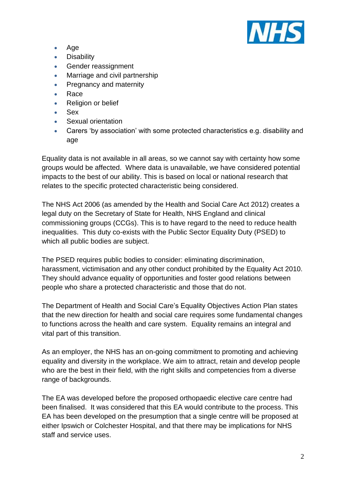

- Age
- **Disability**
- Gender reassignment
- Marriage and civil partnership
- Pregnancy and maternity
- Race
- Religion or belief
- Sex
- Sexual orientation
- Carers 'by association' with some protected characteristics e.g. disability and age

Equality data is not available in all areas, so we cannot say with certainty how some groups would be affected. Where data is unavailable, we have considered potential impacts to the best of our ability. This is based on local or national research that relates to the specific protected characteristic being considered.

The NHS Act 2006 (as amended by the Health and Social Care Act 2012) creates a legal duty on the Secretary of State for Health, NHS England and clinical commissioning groups (CCGs). This is to have regard to the need to reduce health inequalities. This duty co-exists with the Public Sector Equality Duty (PSED) to which all public bodies are subject.

The PSED requires public bodies to consider: eliminating discrimination, harassment, victimisation and any other conduct prohibited by the Equality Act 2010. They should advance equality of opportunities and foster good relations between people who share a protected characteristic and those that do not.

The Department of Health and Social Care's Equality Objectives Action Plan states that the new direction for health and social care requires some fundamental changes to functions across the health and care system. Equality remains an integral and vital part of this transition.

As an employer, the NHS has an on-going commitment to promoting and achieving equality and diversity in the workplace. We aim to attract, retain and develop people who are the best in their field, with the right skills and competencies from a diverse range of backgrounds.

The EA was developed before the proposed orthopaedic elective care centre had been finalised. It was considered that this EA would contribute to the process. This EA has been developed on the presumption that a single centre will be proposed at either Ipswich or Colchester Hospital, and that there may be implications for NHS staff and service uses.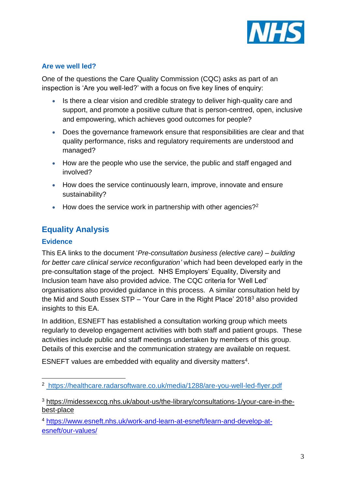

### **Are we well led?**

One of the questions the Care Quality Commission (CQC) asks as part of an inspection is 'Are you well-led?' with a focus on five key lines of enquiry:

- Is there a clear vision and credible strategy to deliver high-quality care and support, and promote a positive culture that is person-centred, open, inclusive and empowering, which achieves good outcomes for people?
- Does the governance framework ensure that responsibilities are clear and that quality performance, risks and regulatory requirements are understood and managed?
- How are the people who use the service, the public and staff engaged and involved?
- How does the service continuously learn, improve, innovate and ensure sustainability?
- $\bullet$  How does the service work in partnership with other agencies?<sup>2</sup>

# **Equality Analysis**

### **Evidence**

1

This EA links to the document '*Pre-consultation business (elective care) – building for better care clinical service reconfiguration'* which had been developed early in the pre-consultation stage of the project. NHS Employers' Equality, Diversity and Inclusion team have also provided advice. The CQC criteria for 'Well Led' organisations also provided guidance in this process. A similar consultation held by the Mid and South Essex STP – 'Your Care in the Right Place' 2018 $3$  also provided insights to this EA.

In addition, ESNEFT has established a consultation working group which meets regularly to develop engagement activities with both staff and patient groups. These activities include public and staff meetings undertaken by members of this group. Details of this exercise and the communication strategy are available on request.

ESNEFT values are embedded with equality and diversity matters<sup>4</sup>.

<sup>4</sup> [https://www.esneft.nhs.uk/work-and-learn-at-esneft/learn-and-develop-at](https://www.esneft.nhs.uk/work-and-learn-at-esneft/learn-and-develop-at-esneft/our-values/)[esneft/our-values/](https://www.esneft.nhs.uk/work-and-learn-at-esneft/learn-and-develop-at-esneft/our-values/)

<sup>2</sup> <https://healthcare.radarsoftware.co.uk/media/1288/are-you-well-led-flyer.pdf>

<sup>3</sup> [https://midessexccg.nhs.uk/about-us/the-library/consultations-1/your-care-in-the](https://midessexccg.nhs.uk/about-us/the-library/consultations-1/your-care-in-the-best-place)[best-place](https://midessexccg.nhs.uk/about-us/the-library/consultations-1/your-care-in-the-best-place)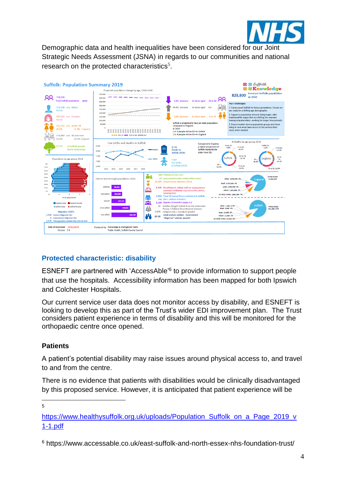

Demographic data and health inequalities have been considered for our Joint Strategic Needs Assessment (JSNA) in regards to our communities and national research on the protected characteristics<sup>5</sup>.



### **Protected characteristic: disability**

ESNEFT are partnered with 'AccessAble' 6 to provide information to support people that use the hospitals. Accessibility information has been mapped for both Ipswich and Colchester Hospitals.

Our current service user data does not monitor access by disability, and ESNEFT is looking to develop this as part of the Trust's wider EDI improvement plan. The Trust considers patient experience in terms of disability and this will be monitored for the orthopaedic centre once opened.

#### **Patients**

A patient's potential disability may raise issues around physical access to, and travel to and from the centre.

There is no evidence that patients with disabilities would be clinically disadvantaged by this proposed service. However, it is anticipated that patient experience will be

<u>.</u> 5

[https://www.healthysuffolk.org.uk/uploads/Population\\_Suffolk\\_on\\_a\\_Page\\_2019\\_v](https://www.healthysuffolk.org.uk/uploads/Population_Suffolk_on_a_Page_2019_v1-1.pdf) [1-1.pdf](https://www.healthysuffolk.org.uk/uploads/Population_Suffolk_on_a_Page_2019_v1-1.pdf)

<sup>6</sup> https://www.accessable.co.uk/east-suffolk-and-north-essex-nhs-foundation-trust/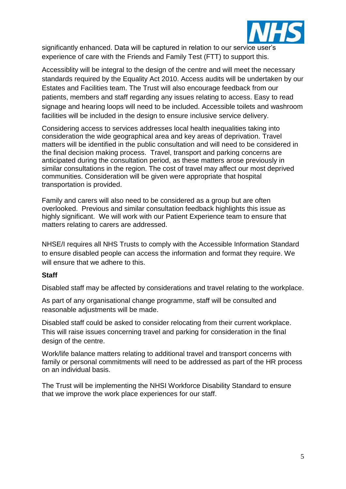

significantly enhanced. Data will be captured in relation to our service user's experience of care with the Friends and Family Test (FTT) to support this.

Accessiblity will be integral to the design of the centre and will meet the necessary standards required by the Equality Act 2010. Access audits will be undertaken by our Estates and Facilities team. The Trust will also encourage feedback from our patients, members and staff regarding any issues relating to access. Easy to read signage and hearing loops will need to be included. Accessible toilets and washroom facilities will be included in the design to ensure inclusive service delivery.

Considering access to services addresses local health inequalities taking into consideration the wide geographical area and key areas of deprivation. Travel matters will be identified in the public consultation and will need to be considered in the final decision making process. Travel, transport and parking concerns are anticipated during the consultation period, as these matters arose previously in similar consultations in the region. The cost of travel may affect our most deprived communities. Consideration will be given were appropriate that hospital transportation is provided.

Family and carers will also need to be considered as a group but are often overlooked. Previous and similar consultation feedback highlights this issue as highly significant. We will work with our Patient Experience team to ensure that matters relating to carers are addressed.

NHSE/I requires all NHS Trusts to comply with the Accessible Information Standard to ensure disabled people can access the information and format they require. We will ensure that we adhere to this.

#### **Staff**

Disabled staff may be affected by considerations and travel relating to the workplace.

As part of any organisational change programme, staff will be consulted and reasonable adjustments will be made.

Disabled staff could be asked to consider relocating from their current workplace. This will raise issues concerning travel and parking for consideration in the final design of the centre.

Work/life balance matters relating to additional travel and transport concerns with family or personal commitments will need to be addressed as part of the HR process on an individual basis.

The Trust will be implementing the NHSI Workforce Disability Standard to ensure that we improve the work place experiences for our staff.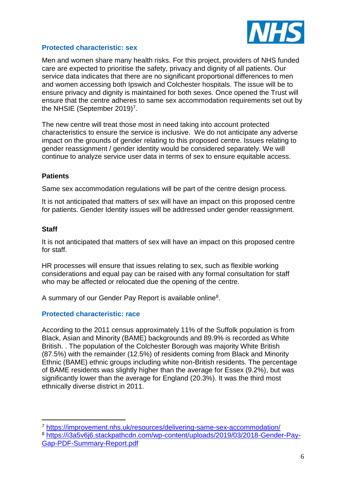

#### **Protected characteristic: sex**

Men and women share many health risks. For this project, providers of NHS funded care are expected to prioritise the safety, privacy and dignity of all patients. Our service data indicates that there are no significant proportional differences to men and women accessing both Ipswich and Colchester hospitals. The issue will be to ensure privacy and dignity is maintained for both sexes. Once opened the Trust will ensure that the centre adheres to same sex accommodation requirements set out by the NHSIE (September 2019)<sup>7</sup>.

The new centre will treat those most in need taking into account protected characteristics to ensure the service is inclusive. We do not anticipate any adverse impact on the grounds of gender relating to this proposed centre. Issues relating to gender reassignment / gender identity would be considered separately. We will continue to analyze service user data in terms of sex to ensure equitable access.

#### **Patients**

Same sex accommodation regulations will be part of the centre design process.

It is not anticipated that matters of sex will have an impact on this proposed centre for patients. Gender Identity issues will be addressed under gender reassignment.

#### **Staff**

1

It is not anticipated that matters of sex will have an impact on this proposed centre for staff.

HR processes will ensure that issues relating to sex, such as flexible working considerations and equal pay can be raised with any formal consultation for staff who may be affected or relocated due the opening of the centre.

A summary of our Gender Pay Report is available online<sup>8</sup>.

#### **Protected characteristic: race**

According to the 2011 census approximately 11% of the Suffolk population is from Black, Asian and Minority (BAME) backgrounds and 89.9% is recorded as White British. . The population of the Colchester Borough was majority White British (87.5%) with the remainder (12.5%) of residents coming from Black and Minority Ethnic (BAME) ethnic groups including white non-British residents. The percentage of BAME residents was slightly higher than the average for Essex (9.2%), but was significantly lower than the average for England (20.3%). It was the third most ethnically diverse district in 2011.

<sup>7</sup> <https://improvement.nhs.uk/resources/delivering-same-sex-accommodation/> <sup>8</sup> [https://i3a5v6j6.stackpathcdn.com/wp-content/uploads/2019/03/2018-Gender-Pay-](https://i3a5v6j6.stackpathcdn.com/wp-content/uploads/2019/03/2018-Gender-Pay-Gap-PDF-Summary-Report.pdf)[Gap-PDF-Summary-Report.pdf](https://i3a5v6j6.stackpathcdn.com/wp-content/uploads/2019/03/2018-Gender-Pay-Gap-PDF-Summary-Report.pdf)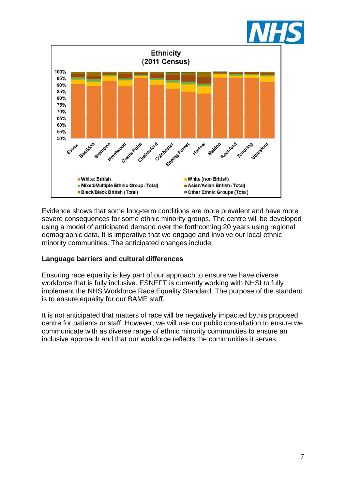



Evidence shows that some long-term conditions are more prevalent and have more severe consequences for some ethnic minority groups. The centre will be developed using a model of anticipated demand over the forthcoming 20 years using regional demographic data. It is imperative that we engage and involve our local ethnic minority communities. The anticipated changes include:

#### **Language barriers and cultural differences**

Ensuring race equality is key part of our approach to ensure we have diverse workforce that is fully inclusive. ESNEFT is currently working with NHSI to fully implement the NHS [Workforce Race Equality Standard.](https://www.england.nhs.uk/about/equality/equality-hub/equality-standard/) The purpose of the standard is to ensure equality for our BAME staff.

It is not anticipated that matters of race will be negatively impacted bythis proposed centre for patients or staff. However, we will use our public consultation to ensure we communicate with as diverse range of ethnic minority communities to ensure an inclusive approach and that our workforce reflects the communities it serves.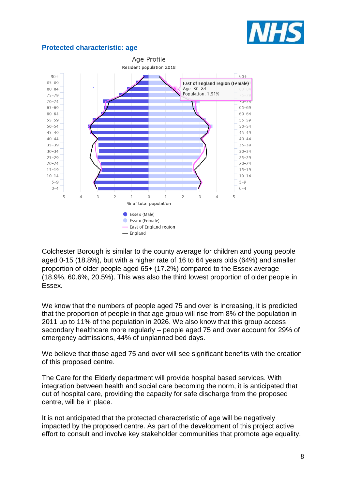

#### **Protected characteristic: age**



Colchester Borough is similar to the county average for children and young people aged 0-15 (18.8%), but with a higher rate of 16 to 64 years olds (64%) and smaller proportion of older people aged 65+ (17.2%) compared to the Essex average (18.9%, 60.6%, 20.5%). This was also the third lowest proportion of older people in Essex.

We know that the numbers of people aged 75 and over is increasing, it is predicted that the proportion of people in that age group will rise from 8% of the population in 2011 up to 11% of the population in 2026. We also know that this group access secondary healthcare more regularly – people aged 75 and over account for 29% of emergency admissions, 44% of unplanned bed days.

We believe that those aged 75 and over will see significant benefits with the creation of this proposed centre.

The Care for the Elderly department will provide hospital based services. With integration between health and social care becoming the norm, it is anticipated that out of hospital care, providing the capacity for safe discharge from the proposed centre, will be in place.

It is not anticipated that the protected characteristic of age will be negatively impacted by the proposed centre. As part of the development of this project active effort to consult and involve key stakeholder communities that promote age equality.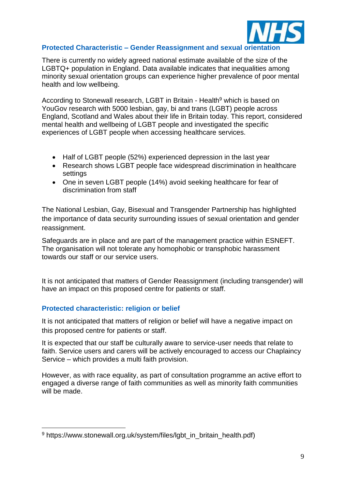

#### **Protected Characteristic – Gender Reassignment and sexual orientation**

There is currently no widely agreed national estimate available of the size of the LGBTQ+ population in England. Data available indicates that inequalities among minority sexual orientation groups can experience higher prevalence of poor mental health and low wellbeing.

According to Stonewall research, LGBT in Britain - Health<sup>9</sup> which is based on YouGov research with 5000 lesbian, gay, bi and trans (LGBT) people across England, Scotland and Wales about their life in Britain today. This report, considered mental health and wellbeing of LGBT people and investigated the specific experiences of LGBT people when accessing healthcare services.

- Half of LGBT people (52%) experienced depression in the last year
- Research shows LGBT people face widespread discrimination in healthcare settings
- One in seven LGBT people (14%) avoid seeking healthcare for fear of discrimination from staff

The National Lesbian, Gay, Bisexual and Transgender Partnership has highlighted the importance of data security surrounding issues of sexual orientation and gender reassignment.

Safeguards are in place and are part of the management practice within ESNEFT. The organisation will not tolerate any homophobic or transphobic harassment towards our staff or our service users.

It is not anticipated that matters of Gender Reassignment (including transgender) will have an impact on this proposed centre for patients or staff.

#### **Protected characteristic: religion or belief**

<u>.</u>

It is not anticipated that matters of religion or belief will have a negative impact on this proposed centre for patients or staff.

It is expected that our staff be culturally aware to service-user needs that relate to faith. Service users and carers will be actively encouraged to access our Chaplaincy Service – which provides a multi faith provision.

However, as with race equality, as part of consultation programme an active effort to engaged a diverse range of faith communities as well as minority faith communities will be made.

<sup>&</sup>lt;sup>9</sup> https://www.stonewall.org.uk/system/files/lgbt\_in\_britain\_health.pdf)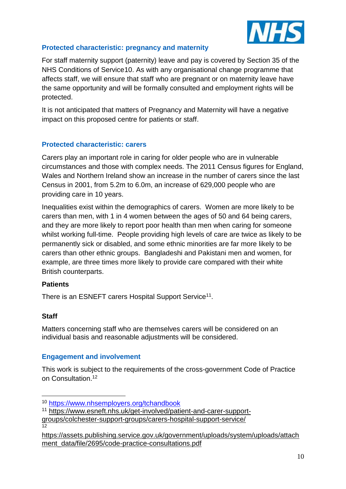

### **Protected characteristic: pregnancy and maternity**

For staff maternity support (paternity) leave and pay is covered by Section 35 of the NHS Conditions of Service10. As with any organisational change programme that affects staff, we will ensure that staff who are pregnant or on maternity leave have the same opportunity and will be formally consulted and employment rights will be protected.

It is not anticipated that matters of Pregnancy and Maternity will have a negative impact on this proposed centre for patients or staff.

### **Protected characteristic: carers**

Carers play an important role in caring for older people who are in vulnerable circumstances and those with complex needs. The 2011 Census figures for England, Wales and Northern Ireland show an increase in the number of carers since the last Census in 2001, from 5.2m to 6.0m, an increase of 629,000 people who are providing care in 10 years.

Inequalities exist within the demographics of carers. Women are more likely to be carers than men, with 1 in 4 women between the ages of 50 and 64 being carers, and they are more likely to report poor health than men when caring for someone whilst working full-time. People providing high levels of care are twice as likely to be permanently sick or disabled, and some ethnic minorities are far more likely to be carers than other ethnic groups. Bangladeshi and Pakistani men and women, for example, are three times more likely to provide care compared with their white British counterparts.

### **Patients**

There is an ESNEFT carers Hospital Support Service<sup>11</sup>.

### **Staff**

Matters concerning staff who are themselves carers will be considered on an individual basis and reasonable adjustments will be considered.

### **Engagement and involvement**

This work is subject to the requirements of the cross-government [Code of Practice](http://www.bis.gov.uk/policies/better-regulation/consultation-guidance) [on Consultation.](http://www.bis.gov.uk/policies/better-regulation/consultation-guidance) 12

1

<sup>10</sup> <https://www.nhsemployers.org/tchandbook>

<sup>11</sup> [https://www.esneft.nhs.uk/get-involved/patient-and-carer-support](https://www.esneft.nhs.uk/get-involved/patient-and-carer-support-groups/colchester-support-groups/carers-hospital-support-service/)[groups/colchester-support-groups/carers-hospital-support-service/](https://www.esneft.nhs.uk/get-involved/patient-and-carer-support-groups/colchester-support-groups/carers-hospital-support-service/)

<sup>12</sup>

[https://assets.publishing.service.gov.uk/government/uploads/system/uploads/attach](https://assets.publishing.service.gov.uk/government/uploads/system/uploads/attachment_data/file/2695/code-practice-consultations.pdf) [ment\\_data/file/2695/code-practice-consultations.pdf](https://assets.publishing.service.gov.uk/government/uploads/system/uploads/attachment_data/file/2695/code-practice-consultations.pdf)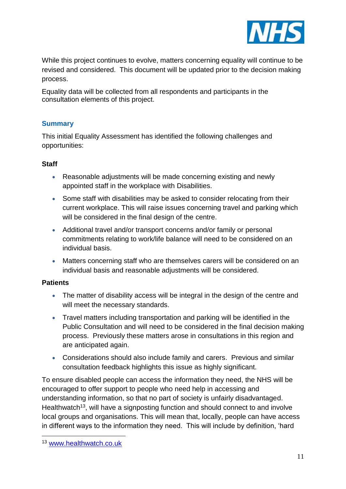

While this project continues to evolve, matters concerning equality will continue to be revised and considered. This document will be updated prior to the decision making process.

Equality data will be collected from all respondents and participants in the consultation elements of this project.

### **Summary**

This initial Equality Assessment has identified the following challenges and opportunities:

#### **Staff**

- Reasonable adjustments will be made concerning existing and newly appointed staff in the workplace with Disabilities.
- Some staff with disabilities may be asked to consider relocating from their current workplace. This will raise issues concerning travel and parking which will be considered in the final design of the centre.
- Additional travel and/or transport concerns and/or family or personal commitments relating to work/life balance will need to be considered on an individual basis.
- Matters concerning staff who are themselves carers will be considered on an individual basis and reasonable adjustments will be considered.

#### **Patients**

- The matter of disability access will be integral in the design of the centre and will meet the necessary standards.
- Travel matters including transportation and parking will be identified in the Public Consultation and will need to be considered in the final decision making process. Previously these matters arose in consultations in this region and are anticipated again.
- Considerations should also include family and carers. Previous and similar consultation feedback highlights this issue as highly significant.

To ensure disabled people can access the information they need, the NHS will be encouraged to offer support to people who need help in accessing and understanding information, so that no part of society is unfairly disadvantaged. Healthwatch<sup>13</sup>, will have a signposting function and should connect to and involve local groups and organisations. This will mean that, locally, people can have access in different ways to the information they need. This will include by definition, 'hard

<u>.</u>

<sup>13</sup> [www.healthwatch.co.uk](http://www.healthwatch.co.uk/)